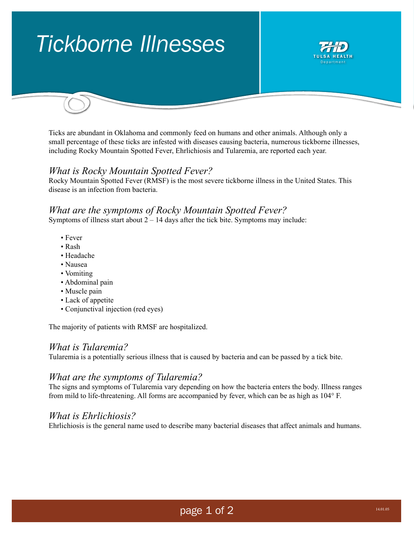# *Tickborne Illnesses*



Ticks are abundant in Oklahoma and commonly feed on humans and other animals. Although only a small percentage of these ticks are infested with diseases causing bacteria, numerous tickborne illnesses, including Rocky Mountain Spotted Fever, Ehrlichiosis and Tularemia, are reported each year.

### *What is Rocky Mountain Spotted Fever?*

Rocky Mountain Spotted Fever (RMSF) is the most severe tickborne illness in the United States. This disease is an infection from bacteria.

#### *What are the symptoms of Rocky Mountain Spotted Fever?*

Symptoms of illness start about  $2 - 14$  days after the tick bite. Symptoms may include:

- Fever
- Rash
- Headache
- Nausea
- Vomiting
- Abdominal pain
- Muscle pain
- Lack of appetite
- Conjunctival injection (red eyes)

The majority of patients with RMSF are hospitalized.

#### *What is Tularemia?*

Tularemia is a potentially serious illness that is caused by bacteria and can be passed by a tick bite.

#### *What are the symptoms of Tularemia?*

The signs and symptoms of Tularemia vary depending on how the bacteria enters the body. Illness ranges from mild to life-threatening. All forms are accompanied by fever, which can be as high as 104° F.

#### *What is Ehrlichiosis?*

Ehrlichiosis is the general name used to describe many bacterial diseases that affect animals and humans.